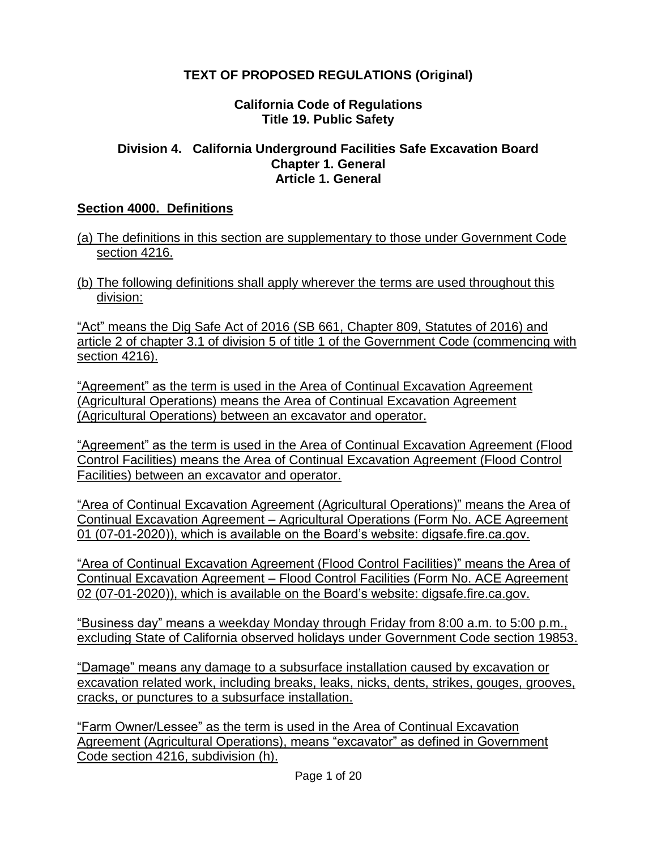# **TEXT OF PROPOSED REGULATIONS (Original)**

#### **California Code of Regulations Title 19. Public Safety**

#### **Division 4. California Underground Facilities Safe Excavation Board Chapter 1. General Article 1. General**

#### **Section 4000. Definitions**

- (a) The definitions in this section are supplementary to those under Government Code section 4216.
- (b) The following definitions shall apply wherever the terms are used throughout this division:

"Act" means the Dig Safe Act of 2016 (SB 661, Chapter 809, Statutes of 2016) and article 2 of chapter 3.1 of division 5 of title 1 of the Government Code (commencing with section 4216).

"Agreement" as the term is used in the Area of Continual Excavation Agreement (Agricultural Operations) means the Area of Continual Excavation Agreement (Agricultural Operations) between an excavator and operator.

"Agreement" as the term is used in the Area of Continual Excavation Agreement (Flood Control Facilities) means the Area of Continual Excavation Agreement (Flood Control Facilities) between an excavator and operator.

"Area of Continual Excavation Agreement (Agricultural Operations)" means the Area of Continual Excavation Agreement – Agricultural Operations (Form No. ACE Agreement 01 (07-01-2020)), which is available on the Board's website: digsafe.fire.ca.gov.

"Area of Continual Excavation Agreement (Flood Control Facilities)" means the Area of Continual Excavation Agreement – Flood Control Facilities (Form No. ACE Agreement 02 (07-01-2020)), which is available on the Board's website: digsafe.fire.ca.gov.

"Business day" means a weekday Monday through Friday from 8:00 a.m. to 5:00 p.m., excluding State of California observed holidays under Government Code section 19853.

"Damage" means any damage to a subsurface installation caused by excavation or excavation related work, including breaks, leaks, nicks, dents, strikes, gouges, grooves, cracks, or punctures to a subsurface installation.

"Farm Owner/Lessee" as the term is used in the Area of Continual Excavation Agreement (Agricultural Operations), means "excavator" as defined in Government Code section 4216, subdivision (h).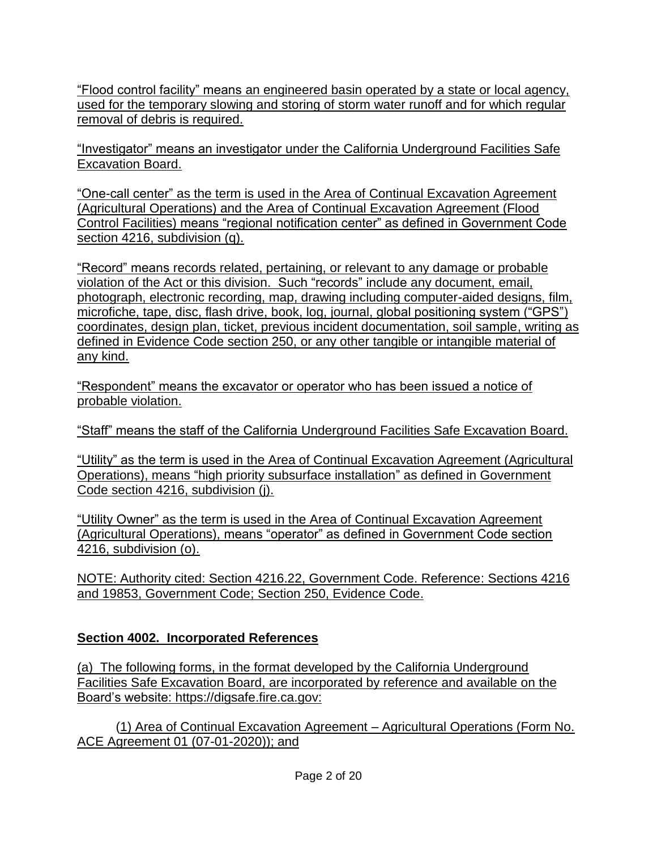"Flood control facility" means an engineered basin operated by a state or local agency, used for the temporary slowing and storing of storm water runoff and for which regular removal of debris is required.

"Investigator" means an investigator under the California Underground Facilities Safe Excavation Board.

"One-call center" as the term is used in the Area of Continual Excavation Agreement (Agricultural Operations) and the Area of Continual Excavation Agreement (Flood Control Facilities) means "regional notification center" as defined in Government Code section 4216, subdivision (q).

"Record" means records related, pertaining, or relevant to any damage or probable violation of the Act or this division. Such "records" include any document, email, photograph, electronic recording, map, drawing including computer-aided designs, film, microfiche, tape, disc, flash drive, book, log, journal, global positioning system ("GPS") coordinates, design plan, ticket, previous incident documentation, soil sample, writing as defined in Evidence Code section 250, or any other tangible or intangible material of any kind.

"Respondent" means the excavator or operator who has been issued a notice of probable violation.

"Staff" means the staff of the California Underground Facilities Safe Excavation Board.

"Utility" as the term is used in the Area of Continual Excavation Agreement (Agricultural Operations), means "high priority subsurface installation" as defined in Government Code section 4216, subdivision (j).

"Utility Owner" as the term is used in the Area of Continual Excavation Agreement (Agricultural Operations), means "operator" as defined in Government Code section 4216, subdivision (o).

NOTE: Authority cited: Section 4216.22, Government Code. Reference: Sections 4216 and 19853, Government Code; Section 250, Evidence Code.

# **Section 4002. Incorporated References**

(a) The following forms, in the format developed by the California Underground Facilities Safe Excavation Board, are incorporated by reference and available on the Board's website: https://digsafe.fire.ca.gov:

(1) Area of Continual Excavation Agreement – Agricultural Operations (Form No. ACE Agreement 01 (07-01-2020)); and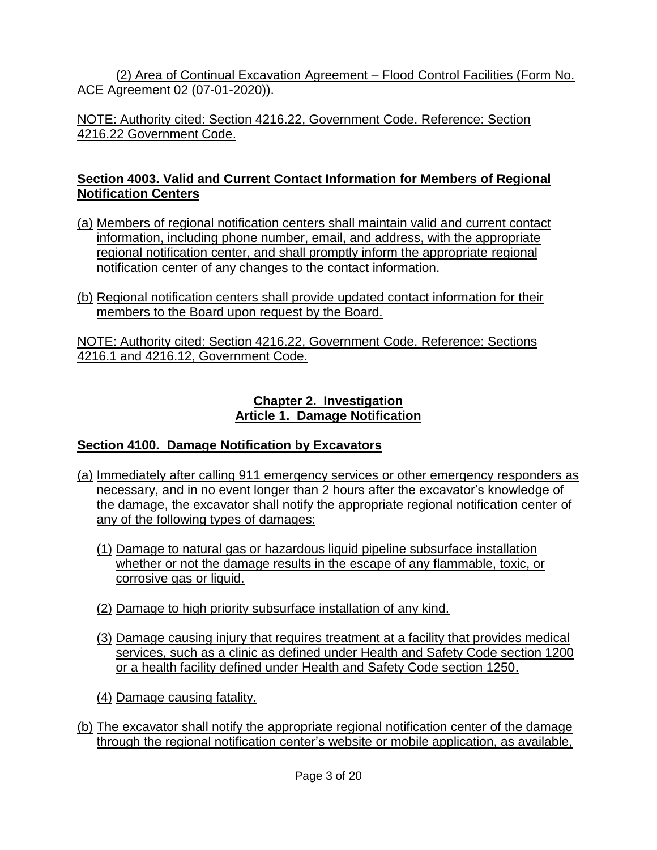(2) Area of Continual Excavation Agreement – Flood Control Facilities (Form No. ACE Agreement 02 (07-01-2020)).

NOTE: Authority cited: Section 4216.22, Government Code. Reference: Section 4216.22 Government Code.

#### **Section 4003. Valid and Current Contact Information for Members of Regional Notification Centers**

- (a) Members of regional notification centers shall maintain valid and current contact information, including phone number, email, and address, with the appropriate regional notification center, and shall promptly inform the appropriate regional notification center of any changes to the contact information.
- (b) Regional notification centers shall provide updated contact information for their members to the Board upon request by the Board.

NOTE: Authority cited: Section 4216.22, Government Code. Reference: Sections 4216.1 and 4216.12, Government Code.

#### **Chapter 2. Investigation Article 1. Damage Notification**

## **Section 4100. Damage Notification by Excavators**

- (a) Immediately after calling 911 emergency services or other emergency responders as necessary, and in no event longer than 2 hours after the excavator's knowledge of the damage, the excavator shall notify the appropriate regional notification center of any of the following types of damages:
	- (1) Damage to natural gas or hazardous liquid pipeline subsurface installation whether or not the damage results in the escape of any flammable, toxic, or corrosive gas or liquid.
	- (2) Damage to high priority subsurface installation of any kind.
	- (3) Damage causing injury that requires treatment at a facility that provides medical services, such as a clinic as defined under Health and Safety Code section 1200 or a health facility defined under Health and Safety Code section 1250.
	- (4) Damage causing fatality.
- (b) The excavator shall notify the appropriate regional notification center of the damage through the regional notification center's website or mobile application, as available,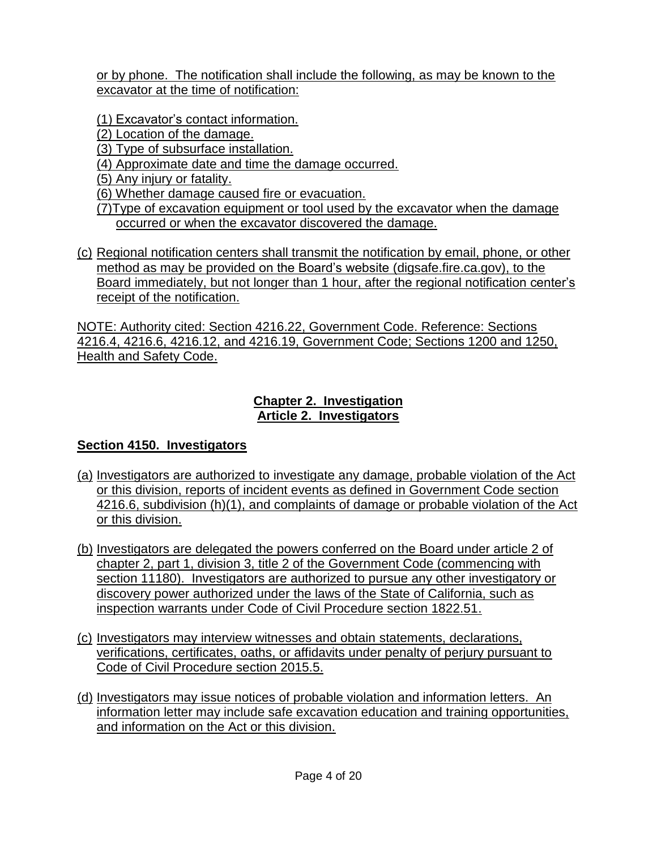or by phone. The notification shall include the following, as may be known to the excavator at the time of notification:

(1) Excavator's contact information.

- (2) Location of the damage.
- (3) Type of subsurface installation.
- (4) Approximate date and time the damage occurred.
- (5) Any injury or fatality.
- (6) Whether damage caused fire or evacuation.
- (7)Type of excavation equipment or tool used by the excavator when the damage occurred or when the excavator discovered the damage.
- (c) Regional notification centers shall transmit the notification by email, phone, or other method as may be provided on the Board's website (digsafe.fire.ca.gov), to the Board immediately, but not longer than 1 hour, after the regional notification center's receipt of the notification.

NOTE: Authority cited: Section 4216.22, Government Code. Reference: Sections 4216.4, 4216.6, 4216.12, and 4216.19, Government Code; Sections 1200 and 1250, Health and Safety Code.

#### **Chapter 2. Investigation Article 2. Investigators**

## **Section 4150. Investigators**

- (a) Investigators are authorized to investigate any damage, probable violation of the Act or this division, reports of incident events as defined in Government Code section 4216.6, subdivision (h)(1), and complaints of damage or probable violation of the Act or this division.
- (b) Investigators are delegated the powers conferred on the Board under article 2 of chapter 2, part 1, division 3, title 2 of the Government Code (commencing with section 11180). Investigators are authorized to pursue any other investigatory or discovery power authorized under the laws of the State of California, such as inspection warrants under Code of Civil Procedure section 1822.51.
- (c) Investigators may interview witnesses and obtain statements, declarations, verifications, certificates, oaths, or affidavits under penalty of perjury pursuant to Code of Civil Procedure section 2015.5.
- (d) Investigators may issue notices of probable violation and information letters. An information letter may include safe excavation education and training opportunities, and information on the Act or this division.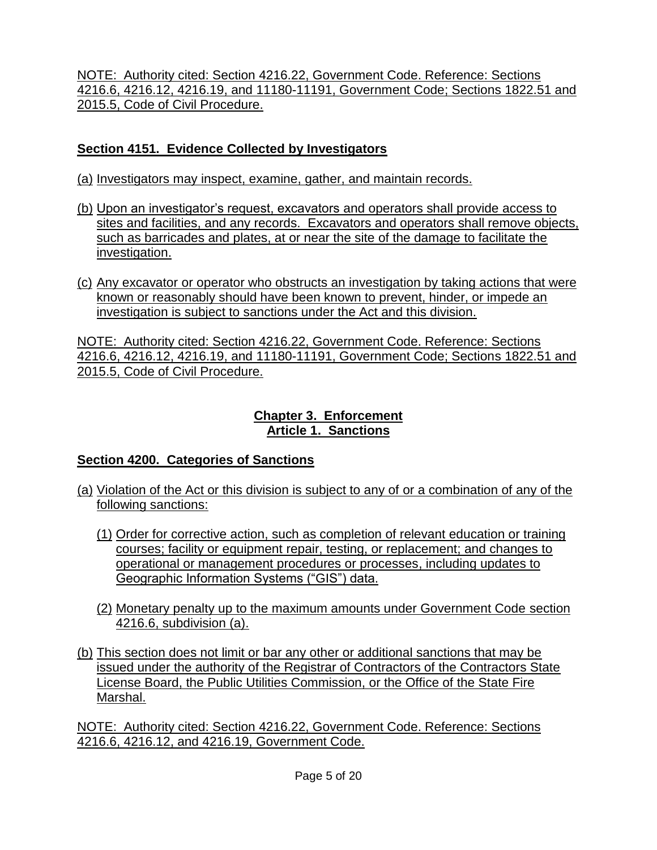NOTE: Authority cited: Section 4216.22, Government Code. Reference: Sections 4216.6, 4216.12, 4216.19, and 11180-11191, Government Code; Sections 1822.51 and 2015.5, Code of Civil Procedure.

## **Section 4151. Evidence Collected by Investigators**

- (a) Investigators may inspect, examine, gather, and maintain records.
- (b) Upon an investigator's request, excavators and operators shall provide access to sites and facilities, and any records. Excavators and operators shall remove objects, such as barricades and plates, at or near the site of the damage to facilitate the investigation.
- (c) Any excavator or operator who obstructs an investigation by taking actions that were known or reasonably should have been known to prevent, hinder, or impede an investigation is subject to sanctions under the Act and this division.

NOTE: Authority cited: Section 4216.22, Government Code. Reference: Sections 4216.6, 4216.12, 4216.19, and 11180-11191, Government Code; Sections 1822.51 and 2015.5, Code of Civil Procedure.

#### **Chapter 3. Enforcement Article 1. Sanctions**

# **Section 4200. Categories of Sanctions**

- (a) Violation of the Act or this division is subject to any of or a combination of any of the following sanctions:
	- (1) Order for corrective action, such as completion of relevant education or training courses; facility or equipment repair, testing, or replacement; and changes to operational or management procedures or processes, including updates to Geographic Information Systems ("GIS") data.
	- (2) Monetary penalty up to the maximum amounts under Government Code section 4216.6, subdivision (a).
- (b) This section does not limit or bar any other or additional sanctions that may be issued under the authority of the Registrar of Contractors of the Contractors State License Board, the Public Utilities Commission, or the Office of the State Fire Marshal.

NOTE: Authority cited: Section 4216.22, Government Code. Reference: Sections 4216.6, 4216.12, and 4216.19, Government Code.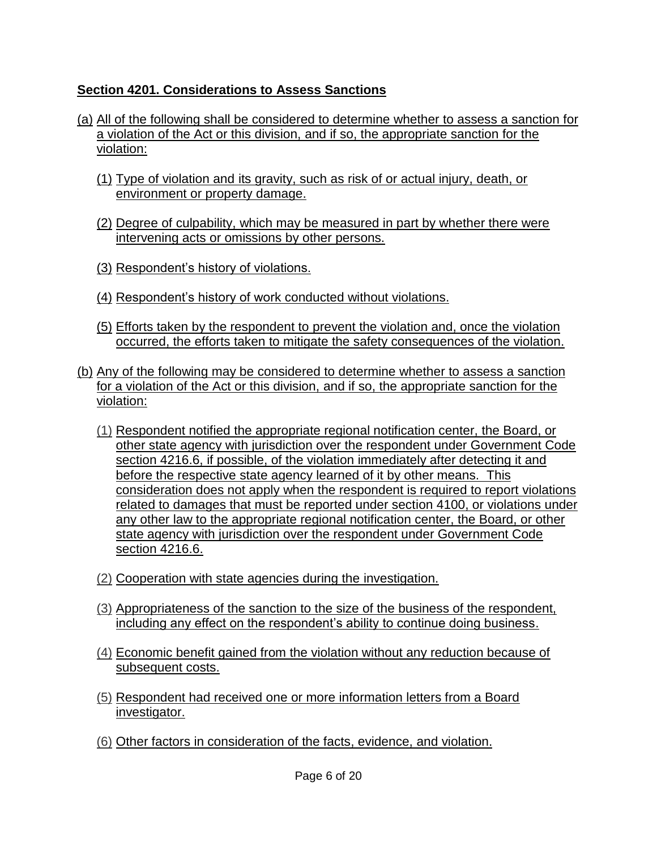## **Section 4201. Considerations to Assess Sanctions**

- (a) All of the following shall be considered to determine whether to assess a sanction for a violation of the Act or this division, and if so, the appropriate sanction for the violation:
	- (1) Type of violation and its gravity, such as risk of or actual injury, death, or environment or property damage.
	- (2) Degree of culpability, which may be measured in part by whether there were intervening acts or omissions by other persons.
	- (3) Respondent's history of violations.
	- (4) Respondent's history of work conducted without violations.
	- (5) Efforts taken by the respondent to prevent the violation and, once the violation occurred, the efforts taken to mitigate the safety consequences of the violation.
- (b) Any of the following may be considered to determine whether to assess a sanction for a violation of the Act or this division, and if so, the appropriate sanction for the violation:
	- (1) Respondent notified the appropriate regional notification center, the Board, or other state agency with jurisdiction over the respondent under Government Code section 4216.6, if possible, of the violation immediately after detecting it and before the respective state agency learned of it by other means. This consideration does not apply when the respondent is required to report violations related to damages that must be reported under section 4100, or violations under any other law to the appropriate regional notification center, the Board, or other state agency with jurisdiction over the respondent under Government Code section 4216.6.
	- (2) Cooperation with state agencies during the investigation.
	- (3) Appropriateness of the sanction to the size of the business of the respondent, including any effect on the respondent's ability to continue doing business.
	- (4) Economic benefit gained from the violation without any reduction because of subsequent costs.
	- (5) Respondent had received one or more information letters from a Board investigator.
	- (6) Other factors in consideration of the facts, evidence, and violation.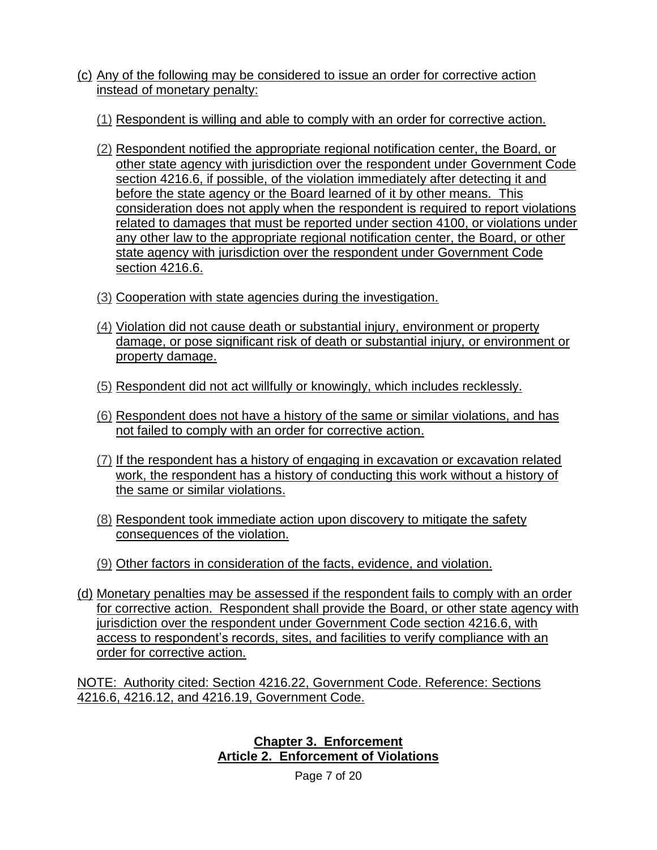- (c) Any of the following may be considered to issue an order for corrective action instead of monetary penalty:
	- (1) Respondent is willing and able to comply with an order for corrective action.
	- (2) Respondent notified the appropriate regional notification center, the Board, or other state agency with jurisdiction over the respondent under Government Code section 4216.6, if possible, of the violation immediately after detecting it and before the state agency or the Board learned of it by other means. This consideration does not apply when the respondent is required to report violations related to damages that must be reported under section 4100, or violations under any other law to the appropriate regional notification center, the Board, or other state agency with jurisdiction over the respondent under Government Code section 4216.6.
	- (3) Cooperation with state agencies during the investigation.
	- (4) Violation did not cause death or substantial injury, environment or property damage, or pose significant risk of death or substantial injury, or environment or property damage.
	- (5) Respondent did not act willfully or knowingly, which includes recklessly.
	- (6) Respondent does not have a history of the same or similar violations, and has not failed to comply with an order for corrective action.
	- (7) If the respondent has a history of engaging in excavation or excavation related work, the respondent has a history of conducting this work without a history of the same or similar violations.
	- (8) Respondent took immediate action upon discovery to mitigate the safety consequences of the violation.
	- (9) Other factors in consideration of the facts, evidence, and violation.
- (d) Monetary penalties may be assessed if the respondent fails to comply with an order for corrective action. Respondent shall provide the Board, or other state agency with jurisdiction over the respondent under Government Code section 4216.6, with access to respondent's records, sites, and facilities to verify compliance with an order for corrective action.

NOTE: Authority cited: Section 4216.22, Government Code. Reference: Sections 4216.6, 4216.12, and 4216.19, Government Code.

> **Chapter 3. Enforcement Article 2. Enforcement of Violations**

> > Page 7 of 20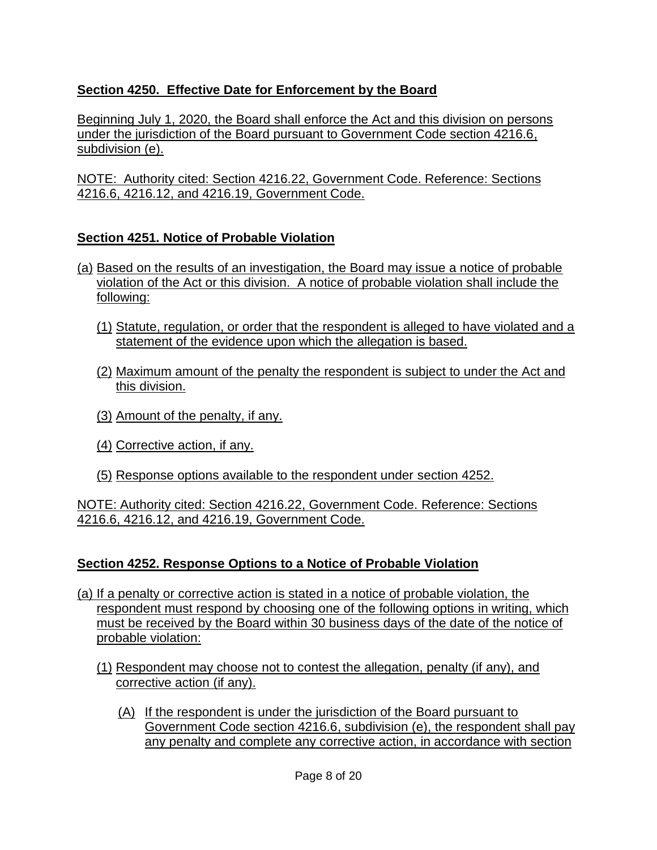## **Section 4250. Effective Date for Enforcement by the Board**

Beginning July 1, 2020, the Board shall enforce the Act and this division on persons under the jurisdiction of the Board pursuant to Government Code section 4216.6, subdivision (e).

NOTE: Authority cited: Section 4216.22, Government Code. Reference: Sections 4216.6, 4216.12, and 4216.19, Government Code.

## **Section 4251. Notice of Probable Violation**

- (a) Based on the results of an investigation, the Board may issue a notice of probable violation of the Act or this division. A notice of probable violation shall include the following:
	- (1) Statute, regulation, or order that the respondent is alleged to have violated and a statement of the evidence upon which the allegation is based.
	- (2) Maximum amount of the penalty the respondent is subject to under the Act and this division.
	- (3) Amount of the penalty, if any.
	- (4) Corrective action, if any.
	- (5) Response options available to the respondent under section 4252.

NOTE: Authority cited: Section 4216.22, Government Code. Reference: Sections 4216.6, 4216.12, and 4216.19, Government Code.

## **Section 4252. Response Options to a Notice of Probable Violation**

- (a) If a penalty or corrective action is stated in a notice of probable violation, the respondent must respond by choosing one of the following options in writing, which must be received by the Board within 30 business days of the date of the notice of probable violation:
	- (1) Respondent may choose not to contest the allegation, penalty (if any), and corrective action (if any).
		- (A) If the respondent is under the jurisdiction of the Board pursuant to Government Code section 4216.6, subdivision (e), the respondent shall pay any penalty and complete any corrective action, in accordance with section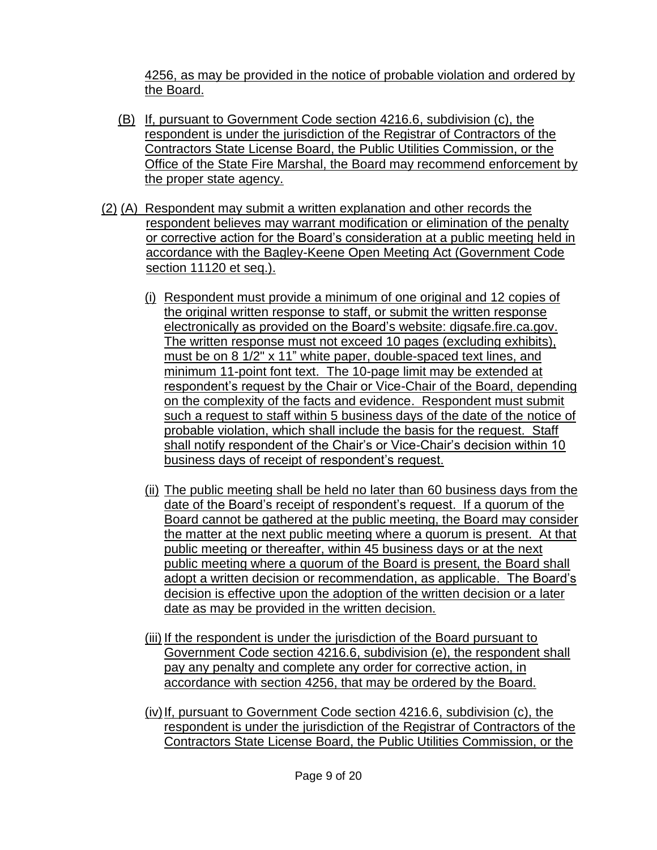4256, as may be provided in the notice of probable violation and ordered by the Board.

- (B) If, pursuant to Government Code section 4216.6, subdivision (c), the respondent is under the jurisdiction of the Registrar of Contractors of the Contractors State License Board, the Public Utilities Commission, or the Office of the State Fire Marshal, the Board may recommend enforcement by the proper state agency.
- (2) (A) Respondent may submit a written explanation and other records the respondent believes may warrant modification or elimination of the penalty or corrective action for the Board's consideration at a public meeting held in accordance with the Bagley-Keene Open Meeting Act (Government Code section 11120 et seq.).
	- (i) Respondent must provide a minimum of one original and 12 copies of the original written response to staff, or submit the written response electronically as provided on the Board's website: digsafe.fire.ca.gov. The written response must not exceed 10 pages (excluding exhibits), must be on 8 1/2" x 11" white paper, double-spaced text lines, and minimum 11-point font text. The 10-page limit may be extended at respondent's request by the Chair or Vice-Chair of the Board, depending on the complexity of the facts and evidence. Respondent must submit such a request to staff within 5 business days of the date of the notice of probable violation, which shall include the basis for the request. Staff shall notify respondent of the Chair's or Vice-Chair's decision within 10 business days of receipt of respondent's request.
	- (ii) The public meeting shall be held no later than 60 business days from the date of the Board's receipt of respondent's request. If a quorum of the Board cannot be gathered at the public meeting, the Board may consider the matter at the next public meeting where a quorum is present. At that public meeting or thereafter, within 45 business days or at the next public meeting where a quorum of the Board is present, the Board shall adopt a written decision or recommendation, as applicable. The Board's decision is effective upon the adoption of the written decision or a later date as may be provided in the written decision.
	- (iii) If the respondent is under the jurisdiction of the Board pursuant to Government Code section 4216.6, subdivision (e), the respondent shall pay any penalty and complete any order for corrective action, in accordance with section 4256, that may be ordered by the Board.
	- $(iv)$  If, pursuant to Government Code section 4216.6, subdivision  $(c)$ , the respondent is under the jurisdiction of the Registrar of Contractors of the Contractors State License Board, the Public Utilities Commission, or the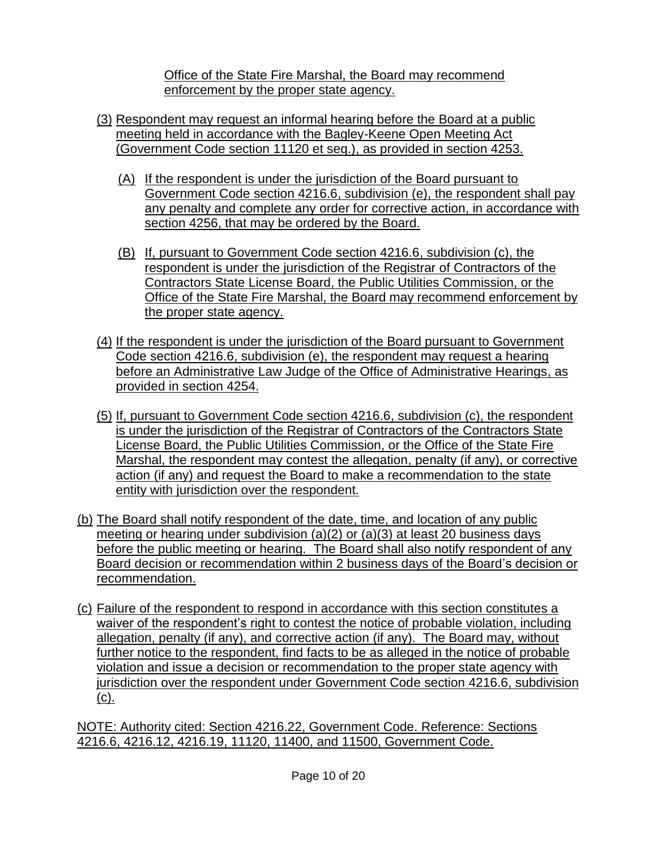Office of the State Fire Marshal, the Board may recommend enforcement by the proper state agency.

- (3) Respondent may request an informal hearing before the Board at a public meeting held in accordance with the Bagley-Keene Open Meeting Act (Government Code section 11120 et seq.), as provided in section 4253.
	- (A) If the respondent is under the jurisdiction of the Board pursuant to Government Code section 4216.6, subdivision (e), the respondent shall pay any penalty and complete any order for corrective action, in accordance with section 4256, that may be ordered by the Board.
	- (B) If, pursuant to Government Code section 4216.6, subdivision (c), the respondent is under the jurisdiction of the Registrar of Contractors of the Contractors State License Board, the Public Utilities Commission, or the Office of the State Fire Marshal, the Board may recommend enforcement by the proper state agency.
- (4) If the respondent is under the jurisdiction of the Board pursuant to Government Code section 4216.6, subdivision (e), the respondent may request a hearing before an Administrative Law Judge of the Office of Administrative Hearings, as provided in section 4254.
- (5) If, pursuant to Government Code section 4216.6, subdivision (c), the respondent is under the jurisdiction of the Registrar of Contractors of the Contractors State License Board, the Public Utilities Commission, or the Office of the State Fire Marshal, the respondent may contest the allegation, penalty (if any), or corrective action (if any) and request the Board to make a recommendation to the state entity with jurisdiction over the respondent.
- (b) The Board shall notify respondent of the date, time, and location of any public meeting or hearing under subdivision (a)(2) or (a)(3) at least 20 business days before the public meeting or hearing. The Board shall also notify respondent of any Board decision or recommendation within 2 business days of the Board's decision or recommendation.
- (c) Failure of the respondent to respond in accordance with this section constitutes a waiver of the respondent's right to contest the notice of probable violation, including allegation, penalty (if any), and corrective action (if any). The Board may, without further notice to the respondent, find facts to be as alleged in the notice of probable violation and issue a decision or recommendation to the proper state agency with jurisdiction over the respondent under Government Code section 4216.6, subdivision (c).

NOTE: Authority cited: Section 4216.22, Government Code. Reference: Sections 4216.6, 4216.12, 4216.19, 11120, 11400, and 11500, Government Code.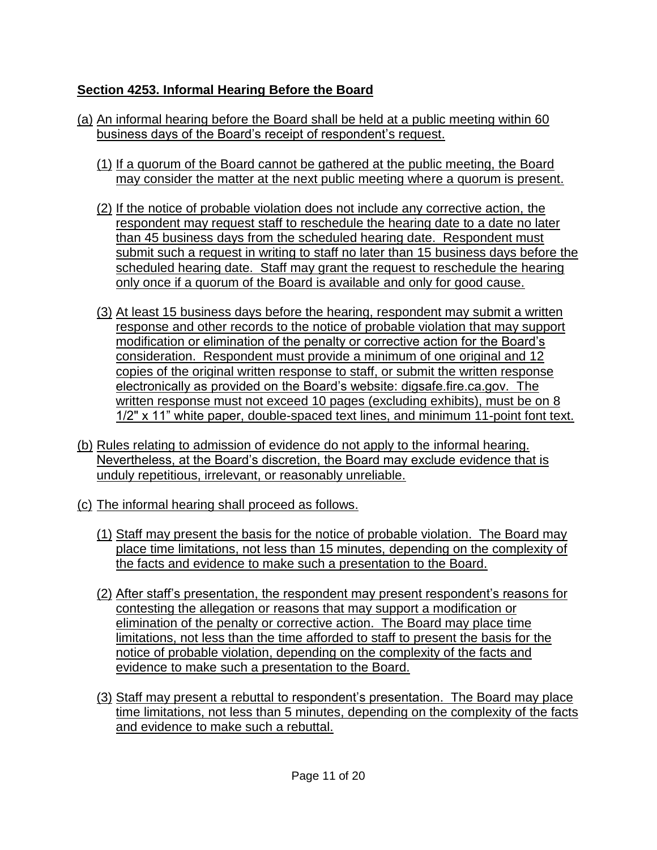## **Section 4253. Informal Hearing Before the Board**

- (a) An informal hearing before the Board shall be held at a public meeting within 60 business days of the Board's receipt of respondent's request.
	- (1) If a quorum of the Board cannot be gathered at the public meeting, the Board may consider the matter at the next public meeting where a quorum is present.
	- (2) If the notice of probable violation does not include any corrective action, the respondent may request staff to reschedule the hearing date to a date no later than 45 business days from the scheduled hearing date. Respondent must submit such a request in writing to staff no later than 15 business days before the scheduled hearing date. Staff may grant the request to reschedule the hearing only once if a quorum of the Board is available and only for good cause.
	- (3) At least 15 business days before the hearing, respondent may submit a written response and other records to the notice of probable violation that may support modification or elimination of the penalty or corrective action for the Board's consideration. Respondent must provide a minimum of one original and 12 copies of the original written response to staff, or submit the written response electronically as provided on the Board's website: digsafe.fire.ca.gov. The written response must not exceed 10 pages (excluding exhibits), must be on 8 1/2" x 11" white paper, double-spaced text lines, and minimum 11-point font text.
- (b) Rules relating to admission of evidence do not apply to the informal hearing. Nevertheless, at the Board's discretion, the Board may exclude evidence that is unduly repetitious, irrelevant, or reasonably unreliable.
- (c) The informal hearing shall proceed as follows.
	- (1) Staff may present the basis for the notice of probable violation. The Board may place time limitations, not less than 15 minutes, depending on the complexity of the facts and evidence to make such a presentation to the Board.
	- (2) After staff's presentation, the respondent may present respondent's reasons for contesting the allegation or reasons that may support a modification or elimination of the penalty or corrective action. The Board may place time limitations, not less than the time afforded to staff to present the basis for the notice of probable violation, depending on the complexity of the facts and evidence to make such a presentation to the Board.
	- (3) Staff may present a rebuttal to respondent's presentation. The Board may place time limitations, not less than 5 minutes, depending on the complexity of the facts and evidence to make such a rebuttal.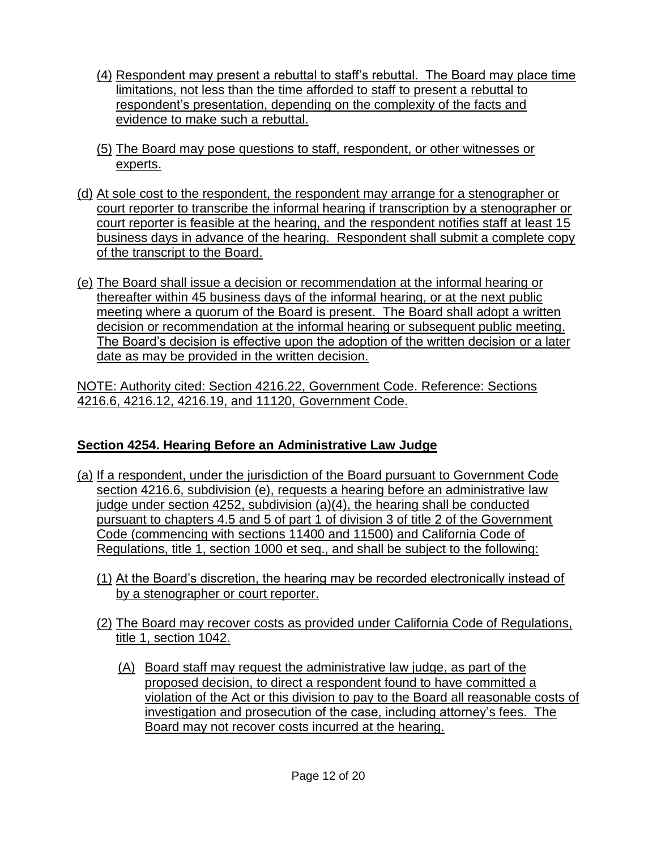- (4) Respondent may present a rebuttal to staff's rebuttal. The Board may place time limitations, not less than the time afforded to staff to present a rebuttal to respondent's presentation, depending on the complexity of the facts and evidence to make such a rebuttal.
- (5) The Board may pose questions to staff, respondent, or other witnesses or experts.
- (d) At sole cost to the respondent, the respondent may arrange for a stenographer or court reporter to transcribe the informal hearing if transcription by a stenographer or court reporter is feasible at the hearing, and the respondent notifies staff at least 15 business days in advance of the hearing. Respondent shall submit a complete copy of the transcript to the Board.
- (e) The Board shall issue a decision or recommendation at the informal hearing or thereafter within 45 business days of the informal hearing, or at the next public meeting where a quorum of the Board is present. The Board shall adopt a written decision or recommendation at the informal hearing or subsequent public meeting. The Board's decision is effective upon the adoption of the written decision or a later date as may be provided in the written decision.

NOTE: Authority cited: Section 4216.22, Government Code. Reference: Sections 4216.6, 4216.12, 4216.19, and 11120, Government Code.

# **Section 4254. Hearing Before an Administrative Law Judge**

- (a) If a respondent, under the jurisdiction of the Board pursuant to Government Code section 4216.6, subdivision (e), requests a hearing before an administrative law judge under section 4252, subdivision (a)(4), the hearing shall be conducted pursuant to chapters 4.5 and 5 of part 1 of division 3 of title 2 of the Government Code (commencing with sections 11400 and 11500) and California Code of Regulations, title 1, section 1000 et seq., and shall be subject to the following:
	- (1) At the Board's discretion, the hearing may be recorded electronically instead of by a stenographer or court reporter.
	- (2) The Board may recover costs as provided under California Code of Regulations, title 1, section 1042.
		- (A) Board staff may request the administrative law judge, as part of the proposed decision, to direct a respondent found to have committed a violation of the Act or this division to pay to the Board all reasonable costs of investigation and prosecution of the case, including attorney's fees. The Board may not recover costs incurred at the hearing.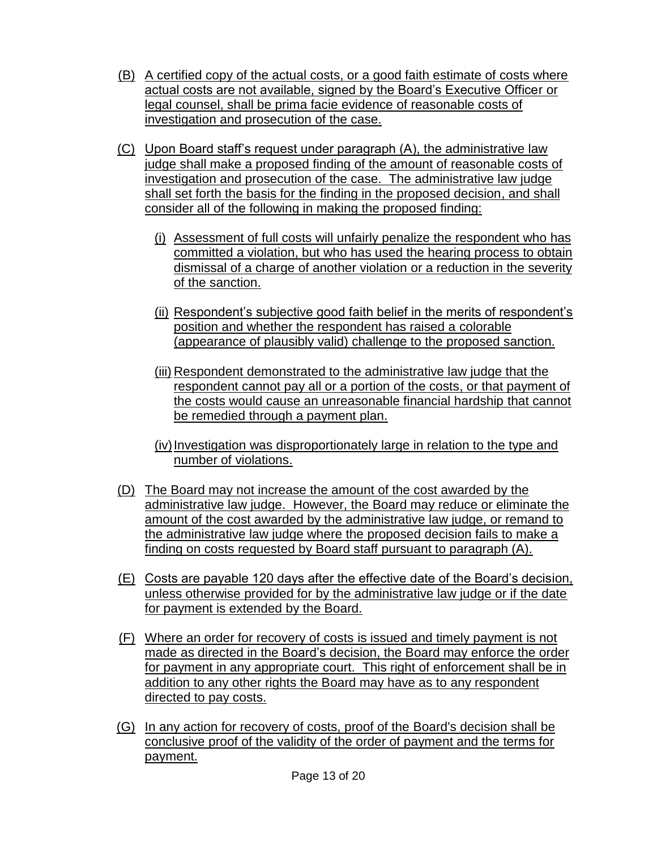- (B) A certified copy of the actual costs, or a good faith estimate of costs where actual costs are not available, signed by the Board's Executive Officer or legal counsel, shall be prima facie evidence of reasonable costs of investigation and prosecution of the case.
- (C) Upon Board staff's request under paragraph (A), the administrative law judge shall make a proposed finding of the amount of reasonable costs of investigation and prosecution of the case. The administrative law judge shall set forth the basis for the finding in the proposed decision, and shall consider all of the following in making the proposed finding:
	- (i) Assessment of full costs will unfairly penalize the respondent who has committed a violation, but who has used the hearing process to obtain dismissal of a charge of another violation or a reduction in the severity of the sanction.
	- (ii) Respondent's subjective good faith belief in the merits of respondent's position and whether the respondent has raised a colorable (appearance of plausibly valid) challenge to the proposed sanction.
	- (iii) Respondent demonstrated to the administrative law judge that the respondent cannot pay all or a portion of the costs, or that payment of the costs would cause an unreasonable financial hardship that cannot be remedied through a payment plan.
	- (iv)Investigation was disproportionately large in relation to the type and number of violations.
- (D) The Board may not increase the amount of the cost awarded by the administrative law judge. However, the Board may reduce or eliminate the amount of the cost awarded by the administrative law judge, or remand to the administrative law judge where the proposed decision fails to make a finding on costs requested by Board staff pursuant to paragraph (A).
- (E) Costs are payable 120 days after the effective date of the Board's decision, unless otherwise provided for by the administrative law judge or if the date for payment is extended by the Board.
- (F) Where an order for recovery of costs is issued and timely payment is not made as directed in the Board's decision, the Board may enforce the order for payment in any appropriate court. This right of enforcement shall be in addition to any other rights the Board may have as to any respondent directed to pay costs.
- (G) In any action for recovery of costs, proof of the Board's decision shall be conclusive proof of the validity of the order of payment and the terms for payment.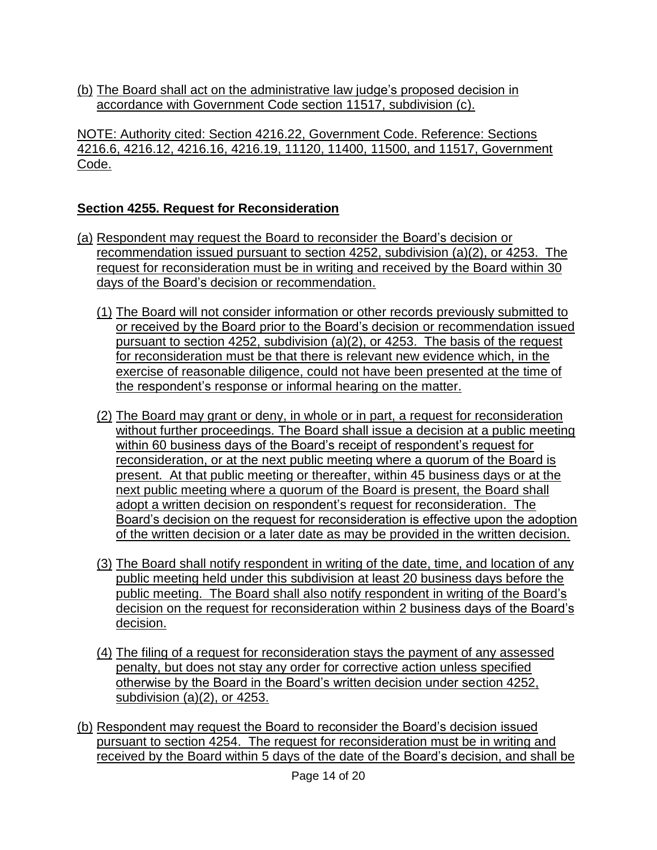(b) The Board shall act on the administrative law judge's proposed decision in accordance with Government Code section 11517, subdivision (c).

NOTE: Authority cited: Section 4216.22, Government Code. Reference: Sections 4216.6, 4216.12, 4216.16, 4216.19, 11120, 11400, 11500, and 11517, Government Code.

#### **Section 4255. Request for Reconsideration**

- (a) Respondent may request the Board to reconsider the Board's decision or recommendation issued pursuant to section 4252, subdivision (a)(2), or 4253. The request for reconsideration must be in writing and received by the Board within 30 days of the Board's decision or recommendation.
	- (1) The Board will not consider information or other records previously submitted to or received by the Board prior to the Board's decision or recommendation issued pursuant to section 4252, subdivision (a)(2), or 4253. The basis of the request for reconsideration must be that there is relevant new evidence which, in the exercise of reasonable diligence, could not have been presented at the time of the respondent's response or informal hearing on the matter.
	- (2) The Board may grant or deny, in whole or in part, a request for reconsideration without further proceedings. The Board shall issue a decision at a public meeting within 60 business days of the Board's receipt of respondent's request for reconsideration, or at the next public meeting where a quorum of the Board is present. At that public meeting or thereafter, within 45 business days or at the next public meeting where a quorum of the Board is present, the Board shall adopt a written decision on respondent's request for reconsideration. The Board's decision on the request for reconsideration is effective upon the adoption of the written decision or a later date as may be provided in the written decision.
	- (3) The Board shall notify respondent in writing of the date, time, and location of any public meeting held under this subdivision at least 20 business days before the public meeting. The Board shall also notify respondent in writing of the Board's decision on the request for reconsideration within 2 business days of the Board's decision.
	- (4) The filing of a request for reconsideration stays the payment of any assessed penalty, but does not stay any order for corrective action unless specified otherwise by the Board in the Board's written decision under section 4252, subdivision (a)(2), or 4253.
- (b) Respondent may request the Board to reconsider the Board's decision issued pursuant to section 4254. The request for reconsideration must be in writing and received by the Board within 5 days of the date of the Board's decision, and shall be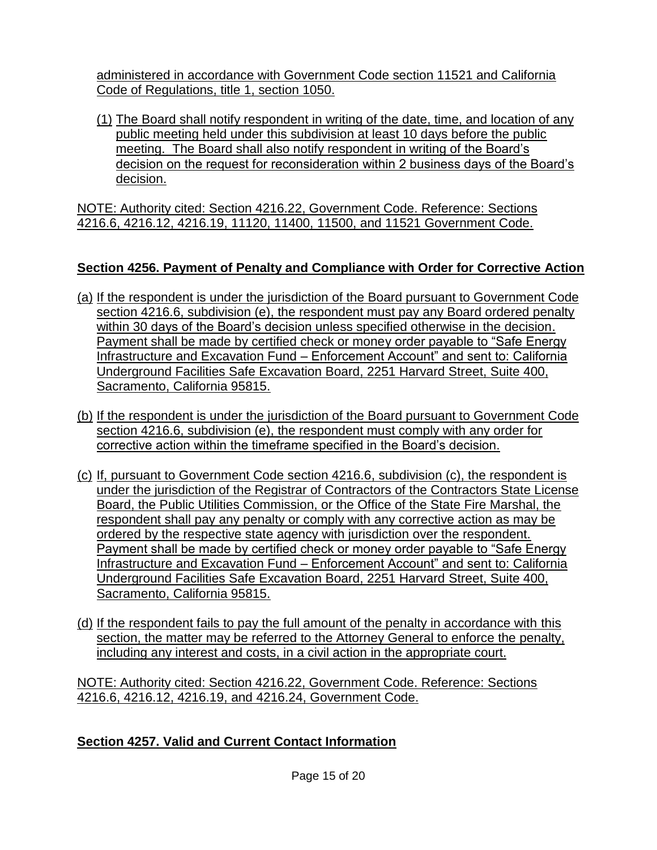administered in accordance with Government Code section 11521 and California Code of Regulations, title 1, section 1050.

(1) The Board shall notify respondent in writing of the date, time, and location of any public meeting held under this subdivision at least 10 days before the public meeting. The Board shall also notify respondent in writing of the Board's decision on the request for reconsideration within 2 business days of the Board's decision.

NOTE: Authority cited: Section 4216.22, Government Code. Reference: Sections 4216.6, 4216.12, 4216.19, 11120, 11400, 11500, and 11521 Government Code.

# **Section 4256. Payment of Penalty and Compliance with Order for Corrective Action**

- (a) If the respondent is under the jurisdiction of the Board pursuant to Government Code section 4216.6, subdivision (e), the respondent must pay any Board ordered penalty within 30 days of the Board's decision unless specified otherwise in the decision. Payment shall be made by certified check or money order payable to "Safe Energy Infrastructure and Excavation Fund – Enforcement Account" and sent to: California Underground Facilities Safe Excavation Board, 2251 Harvard Street, Suite 400, Sacramento, California 95815.
- (b) If the respondent is under the jurisdiction of the Board pursuant to Government Code section 4216.6, subdivision (e), the respondent must comply with any order for corrective action within the timeframe specified in the Board's decision.
- (c) If, pursuant to Government Code section 4216.6, subdivision (c), the respondent is under the jurisdiction of the Registrar of Contractors of the Contractors State License Board, the Public Utilities Commission, or the Office of the State Fire Marshal, the respondent shall pay any penalty or comply with any corrective action as may be ordered by the respective state agency with jurisdiction over the respondent. Payment shall be made by certified check or money order payable to "Safe Energy Infrastructure and Excavation Fund – Enforcement Account" and sent to: California Underground Facilities Safe Excavation Board, 2251 Harvard Street, Suite 400, Sacramento, California 95815.
- (d) If the respondent fails to pay the full amount of the penalty in accordance with this section, the matter may be referred to the Attorney General to enforce the penalty, including any interest and costs, in a civil action in the appropriate court.

NOTE: Authority cited: Section 4216.22, Government Code. Reference: Sections 4216.6, 4216.12, 4216.19, and 4216.24, Government Code.

## **Section 4257. Valid and Current Contact Information**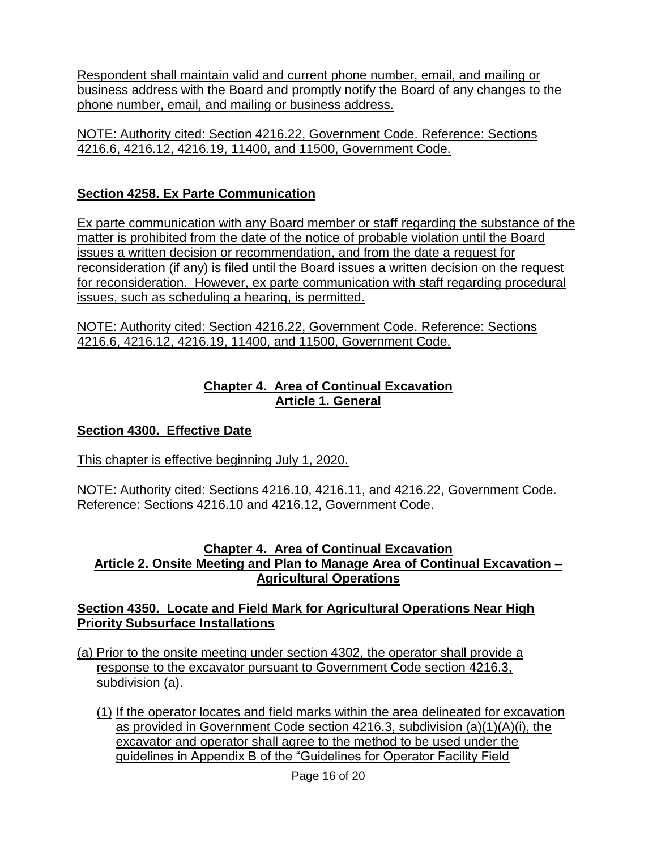Respondent shall maintain valid and current phone number, email, and mailing or business address with the Board and promptly notify the Board of any changes to the phone number, email, and mailing or business address.

NOTE: Authority cited: Section 4216.22, Government Code. Reference: Sections 4216.6, 4216.12, 4216.19, 11400, and 11500, Government Code.

# **Section 4258. Ex Parte Communication**

Ex parte communication with any Board member or staff regarding the substance of the matter is prohibited from the date of the notice of probable violation until the Board issues a written decision or recommendation, and from the date a request for reconsideration (if any) is filed until the Board issues a written decision on the request for reconsideration. However, ex parte communication with staff regarding procedural issues, such as scheduling a hearing, is permitted.

NOTE: Authority cited: Section 4216.22, Government Code. Reference: Sections 4216.6, 4216.12, 4216.19, 11400, and 11500, Government Code.

## **Chapter 4. Area of Continual Excavation Article 1. General**

# **Section 4300. Effective Date**

This chapter is effective beginning July 1, 2020.

NOTE: Authority cited: Sections 4216.10, 4216.11, and 4216.22, Government Code. Reference: Sections 4216.10 and 4216.12, Government Code.

#### **Chapter 4. Area of Continual Excavation Article 2. Onsite Meeting and Plan to Manage Area of Continual Excavation – Agricultural Operations**

## **Section 4350. Locate and Field Mark for Agricultural Operations Near High Priority Subsurface Installations**

- (a) Prior to the onsite meeting under section 4302, the operator shall provide a response to the excavator pursuant to Government Code section 4216.3, subdivision (a).
	- (1) If the operator locates and field marks within the area delineated for excavation as provided in Government Code section 4216.3, subdivision (a)(1)(A)(i), the excavator and operator shall agree to the method to be used under the guidelines in Appendix B of the "Guidelines for Operator Facility Field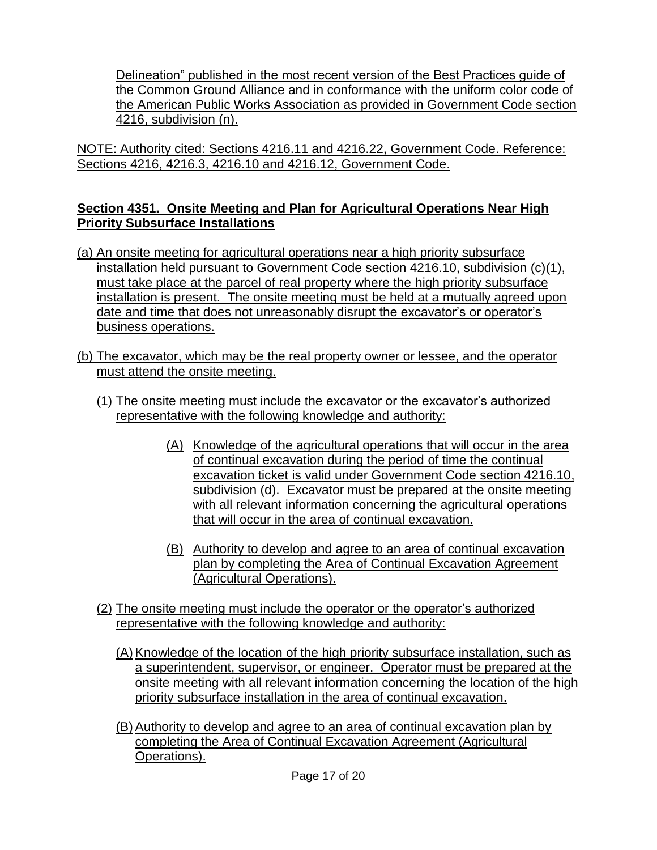Delineation" published in the most recent version of the Best Practices guide of the Common Ground Alliance and in conformance with the uniform color code of the American Public Works Association as provided in Government Code section 4216, subdivision (n).

NOTE: Authority cited: Sections 4216.11 and 4216.22, Government Code. Reference: Sections 4216, 4216.3, 4216.10 and 4216.12, Government Code.

## **Section 4351. Onsite Meeting and Plan for Agricultural Operations Near High Priority Subsurface Installations**

- (a) An onsite meeting for agricultural operations near a high priority subsurface installation held pursuant to Government Code section 4216.10, subdivision (c)(1), must take place at the parcel of real property where the high priority subsurface installation is present. The onsite meeting must be held at a mutually agreed upon date and time that does not unreasonably disrupt the excavator's or operator's business operations.
- (b) The excavator, which may be the real property owner or lessee, and the operator must attend the onsite meeting.
	- (1) The onsite meeting must include the excavator or the excavator's authorized representative with the following knowledge and authority:
		- (A) Knowledge of the agricultural operations that will occur in the area of continual excavation during the period of time the continual excavation ticket is valid under Government Code section 4216.10, subdivision (d). Excavator must be prepared at the onsite meeting with all relevant information concerning the agricultural operations that will occur in the area of continual excavation.
		- (B) Authority to develop and agree to an area of continual excavation plan by completing the Area of Continual Excavation Agreement (Agricultural Operations).
	- (2) The onsite meeting must include the operator or the operator's authorized representative with the following knowledge and authority:
		- (A) Knowledge of the location of the high priority subsurface installation, such as a superintendent, supervisor, or engineer. Operator must be prepared at the onsite meeting with all relevant information concerning the location of the high priority subsurface installation in the area of continual excavation.
		- (B) Authority to develop and agree to an area of continual excavation plan by completing the Area of Continual Excavation Agreement (Agricultural Operations).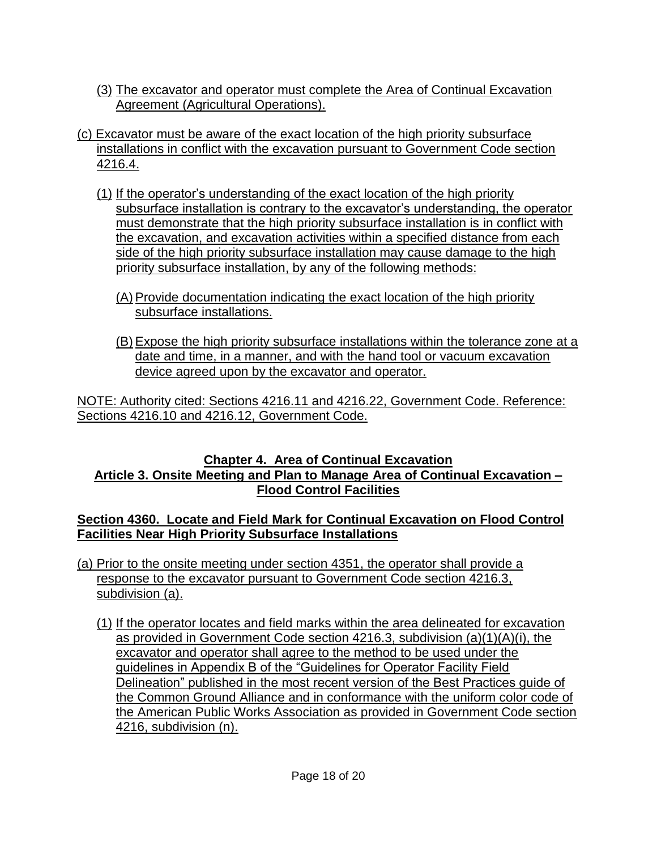- (3) The excavator and operator must complete the Area of Continual Excavation Agreement (Agricultural Operations).
- (c) Excavator must be aware of the exact location of the high priority subsurface installations in conflict with the excavation pursuant to Government Code section 4216.4.
	- (1) If the operator's understanding of the exact location of the high priority subsurface installation is contrary to the excavator's understanding, the operator must demonstrate that the high priority subsurface installation is in conflict with the excavation, and excavation activities within a specified distance from each side of the high priority subsurface installation may cause damage to the high priority subsurface installation, by any of the following methods:
		- (A) Provide documentation indicating the exact location of the high priority subsurface installations.
		- (B) Expose the high priority subsurface installations within the tolerance zone at a date and time, in a manner, and with the hand tool or vacuum excavation device agreed upon by the excavator and operator.

NOTE: Authority cited: Sections 4216.11 and 4216.22, Government Code. Reference: Sections 4216.10 and 4216.12, Government Code.

#### **Chapter 4. Area of Continual Excavation Article 3. Onsite Meeting and Plan to Manage Area of Continual Excavation – Flood Control Facilities**

#### **Section 4360. Locate and Field Mark for Continual Excavation on Flood Control Facilities Near High Priority Subsurface Installations**

- (a) Prior to the onsite meeting under section 4351, the operator shall provide a response to the excavator pursuant to Government Code section 4216.3, subdivision (a).
	- (1) If the operator locates and field marks within the area delineated for excavation as provided in Government Code section 4216.3, subdivision (a)(1)(A)(i), the excavator and operator shall agree to the method to be used under the guidelines in Appendix B of the "Guidelines for Operator Facility Field Delineation" published in the most recent version of the Best Practices guide of the Common Ground Alliance and in conformance with the uniform color code of the American Public Works Association as provided in Government Code section 4216, subdivision (n).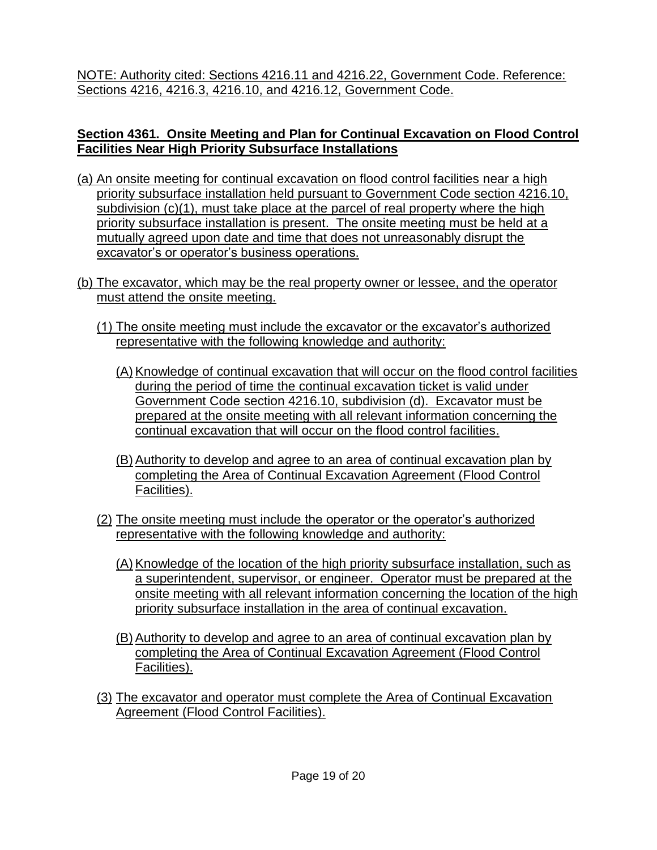NOTE: Authority cited: Sections 4216.11 and 4216.22, Government Code. Reference: Sections 4216, 4216.3, 4216.10, and 4216.12, Government Code.

#### **Section 4361. Onsite Meeting and Plan for Continual Excavation on Flood Control Facilities Near High Priority Subsurface Installations**

- (a) An onsite meeting for continual excavation on flood control facilities near a high priority subsurface installation held pursuant to Government Code section 4216.10, subdivision (c)(1), must take place at the parcel of real property where the high priority subsurface installation is present. The onsite meeting must be held at a mutually agreed upon date and time that does not unreasonably disrupt the excavator's or operator's business operations.
- (b) The excavator, which may be the real property owner or lessee, and the operator must attend the onsite meeting.
	- (1) The onsite meeting must include the excavator or the excavator's authorized representative with the following knowledge and authority:
		- (A) Knowledge of continual excavation that will occur on the flood control facilities during the period of time the continual excavation ticket is valid under Government Code section 4216.10, subdivision (d). Excavator must be prepared at the onsite meeting with all relevant information concerning the continual excavation that will occur on the flood control facilities.
		- (B) Authority to develop and agree to an area of continual excavation plan by completing the Area of Continual Excavation Agreement (Flood Control Facilities).
	- (2) The onsite meeting must include the operator or the operator's authorized representative with the following knowledge and authority:
		- (A) Knowledge of the location of the high priority subsurface installation, such as a superintendent, supervisor, or engineer. Operator must be prepared at the onsite meeting with all relevant information concerning the location of the high priority subsurface installation in the area of continual excavation.
		- (B) Authority to develop and agree to an area of continual excavation plan by completing the Area of Continual Excavation Agreement (Flood Control Facilities).
	- (3) The excavator and operator must complete the Area of Continual Excavation Agreement (Flood Control Facilities).